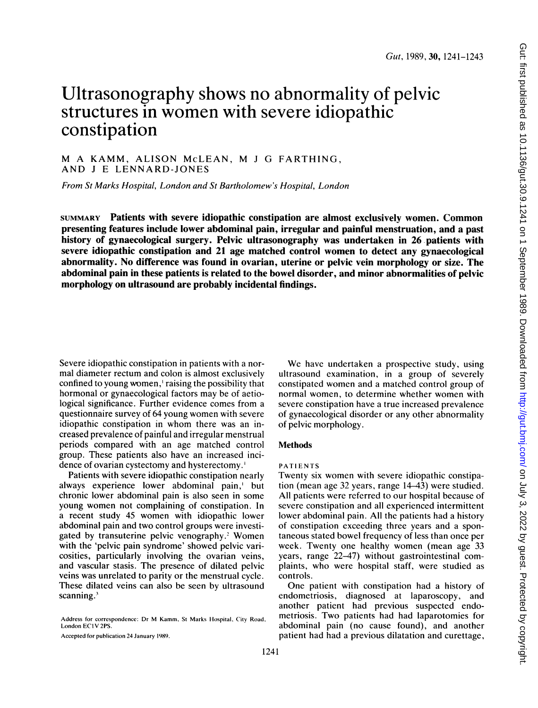# Ultrasonography shows no abnormality of pelvic structures in women with severe idiopathic constipation

M A KAMM, ALISON McLEAN, M <sup>J</sup> G FARTHING, AND <sup>J</sup> E LENNARD-JONES

From St Marks Hospital, London and St Bartholomew's Hospital, London

SUMMARY Patients with severe idiopathic constipation are almost exclusively women. Common presenting features include lower abdominal pain, irregular and painful menstruation, and a past history of gynaecological surgery. Pelvic ultrasonography was undertaken in 26 patients with severe idiopathic constipation and 21 age matched control women to detect any gynaecological abnormality. No difference was found in ovarian, uterine or pelvic vein morphology or size. The abdominal pain in these patients is related to the bowel disorder, and minor abnormalities of pelvic morphology on ultrasound are probably incidental findings.

Severe idiopathic constipation in patients with a normal diameter rectum and colon is almost exclusively confined to young women,' raising the possibility that hormonal or gynaecological factors may be of aetiological significance. Further evidence comes from a questionnaire survey of 64 young women with severe idiopathic constipation in whom there was an increased prevalence of painful and irregular menstrual periods compared with an age matched control group. These patients also have an increased incidence of ovarian cystectomy and hysterectomy.'

Patients with severe idiopathic constipation nearly always experience lower abdominal pain,' but chronic lower abdominal pain is also seen in some young women not complaining of constipation. In <sup>a</sup> recent study 45 women with idiopathic lower abdominal pain and two control groups were investigated by transuterine pelvic venography.<sup>2</sup> Women with the 'pelvic pain syndrome' showed pelvic varicosities, particularly involving the ovarian veins, and vascular stasis. The presence of dilated pelvic veins was unrelated to parity or the menstrual cycle. These dilated veins can also be seen by ultrasound scanning.<sup>3</sup>

Accepted for publication 24 January 1989.

We have undertaken <sup>a</sup> prospective study, using ultrasound examination, in a group of severely constipated women and <sup>a</sup> matched control group of normal women, to determine whether women with severe constipation have a true increased prevalence of gynaecological disorder or any other abnormality of pelvic morphology.

### **Methods**

#### PATIENTS

Twenty six women with severe idiopathic constipation (mean age 32 years, range 14-43) were studied. All patients were referred to our hospital because of severe constipation and all experienced intermittent lower abdominal pain. All the patients had a history of constipation exceeding three years and a spontaneous stated bowel frequency of less than once per week. Twenty one healthy women (mean age 33 years, range 22-47) without gastrointestinal complaints, who were hospital staff, were studied as controls.

One patient with constipation had a history of endometriosis, diagnosed at laparoscopy, and another patient had previous suspected endometriosis. Two patients had had laparotomies for abdominal pain (no cause found), and another patient had had a previous dilatation and curettage,

Address for correspondence: Dr M Kamm, St Marks Hospital, City Road. London EC <sup>t</sup>V 2PS.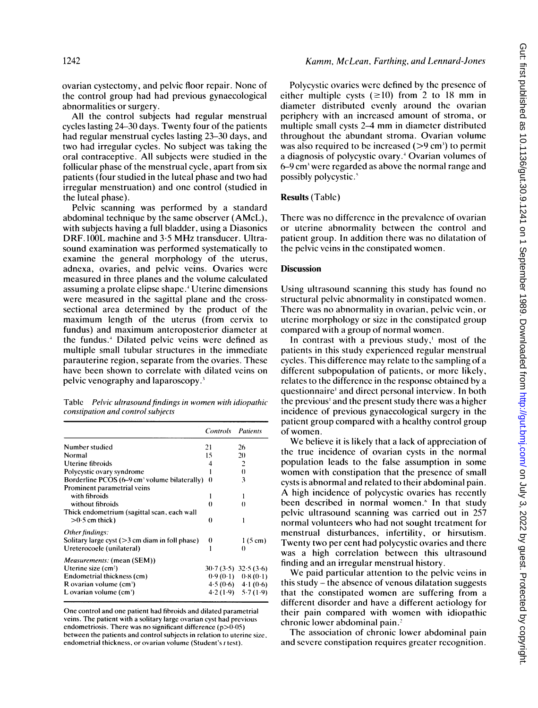ovarian cystectomy, and pelvic floor repair. None of the control group had had previous gynaecological abnormalities or surgery.

All the control subjects had regular menstrual cycles lasting 24-30 days. Twenty four of the patients had regular menstrual cycles lasting 23-30 days, and two had irregular cycles. No subject was taking the oral contraceptive. All subjects were studied in the follicular phase of the menstrual cycle, apart from six patients (four studied in the luteal phase and two had irregular menstruation) and one control (studied in the luteal phase).

Pelvic scanning was performed by a standard abdominal technique by the same observer (AMcL), with subjects having a full bladder, using a Diasonics DRF. IOOL machine and 3-5 MHz transducer. Ultrasound examination was performed systematically to examine the general morphology of the uterus, adnexa, ovaries, and pelvic veins. Ovaries were measured in three planes and the volume calculated assuming a prolate elipse shape.4 Uterine dimensions were measured in the sagittal plane and the crosssectional area determined by the product of the maximum length of the uterus (from cervix to fundus) and maximum anteroposterior diameter at the fundus.4 Dilated pelvic veins were defined as multiple small tubular structures in the immediate parauterine region, separate from the ovaries. These have been shown to correlate with dilated veins on pelvic venography and laparoscopy.<sup>3</sup>

|                                   |  | Table Pelvic ultrasound findings in women with idiopathic |  |
|-----------------------------------|--|-----------------------------------------------------------|--|
| constipation and control subjects |  |                                                           |  |

|                                                            | <b>Controls</b> Patients |                         |
|------------------------------------------------------------|--------------------------|-------------------------|
| Number studied                                             | 21                       | 26                      |
| Normal                                                     | 15                       | 20                      |
| Uterine fibroids                                           | 4                        | 2                       |
| Polycystic ovary syndrome                                  |                          | $\theta$                |
| Borderline PCOS (6–9 cm <sup>3</sup> volume bilaterally)   | $\Omega$                 | 3                       |
| Prominent parametrial veins                                |                          |                         |
| with fibroids                                              |                          |                         |
| without fibroids                                           | $\Omega$                 | $_{0}$                  |
| Thick endometrium (sagittal scan, each wall                |                          |                         |
| $>0.5$ cm thick)                                           | $\Omega$                 |                         |
| Other findings:                                            |                          |                         |
| Solitary large cyst $(>\frac{3}{2}$ cm diam in foll phase) | 0                        | $1(5 \text{ cm})$       |
| Ureterocoele (unilateral)                                  |                          | 0                       |
| <i>Measurements:</i> (mean (SEM))                          |                          |                         |
| Uterine size (cm <sup>2</sup> )                            |                          | $30.7(3.5)$ $32.5(3.6)$ |
| Endometrial thickness (cm)                                 |                          | $0.9(0.1)$ $0.8(0.1)$   |
| R ovarian volume (cm <sup>3</sup> )                        |                          | $4.5(0.6)$ $4.1(0.6)$   |
| L ovarian volume (cm')                                     |                          | $4.2(1.9)$ $5.7(1.9)$   |

One control and one patient had fibroids and dilated parametrial veins. The patient with a solitary large ovarian cyst had previous endometriosis. There was no significant difference  $(p>0.05)$ between the patients and control subjects in relation to uterine size, endometrial thickness, or ovarian volume (Student's <sup>t</sup> test).

# Kamm, McLean, Farthing, and Lennard-Jones

Polycystic ovaries were defined by the presence of either multiple cysts  $(\geq 10)$  from 2 to 18 mm in diameter distributed evenly around the ovarian periphery with an increased amount of stroma, or multiple small cysts 2-4 mm in diameter distributed throughout the abundant stroma. Ovarian volume was also required to be increased  $(>9 \text{ cm}^3)$  to permit a diagnosis of polycystic ovary.4 Ovarian volumes of 6-9 cm3 were regarded as above the normal range and possibly polycystic.'

# Results (Table)

There was no difference in the prevalence of ovarian or uterine abnormality between the control and patient group. In addition there was no dilatation of the pelvic veins in the constipated women.

### Discussion

Using ultrasound scanning this study has found no structural pelvic abnormality in constipated women. There was no abnormality in ovarian, pelvic vein, or uterine morphology or size in the constipated group compared with a group of normal women.

In contrast with a previous study,' most of the patients in this study experienced regular menstrual cycles. This difference may relate to the sampling of <sup>a</sup> different subpopulation of patients, or more likely, relates to the difference in the response obtained by a questionnaire' and direct personal interview. In both the previous' and the present study there was a higher incidence of previous gynaecological surgery in the patient group compared with a healthy control group of women.

We believe it is likely that <sup>a</sup> lack of appreciation of the true incidence of ovarian cysts in the normal population leads to the false assumption in some women with constipation that the presence of small cysts is abnormal and related to their abdominal pain. A high incidence of polycystic ovaries has recently been described in normal women." In that study pelvic ultrasound scanning was carried out in 257 normal volunteers who had not sought treatment for menstrual disturbances, infertility, or hirsutism. Twenty two per cent had polycystic ovaries and there was a high correlation between this ultrasound finding and an irregular menstrual history.

We paid particular attention to the pelvic veins in this study  $-$  the absence of venous dilatation suggests that the constipated women are suffering from <sup>a</sup> different disorder and have a different aetiology for their pain compared with women with idiopathic chronic lower abdominal pain.'

The association of chronic lower abdominal pain and severe constipation requires greater recognition.